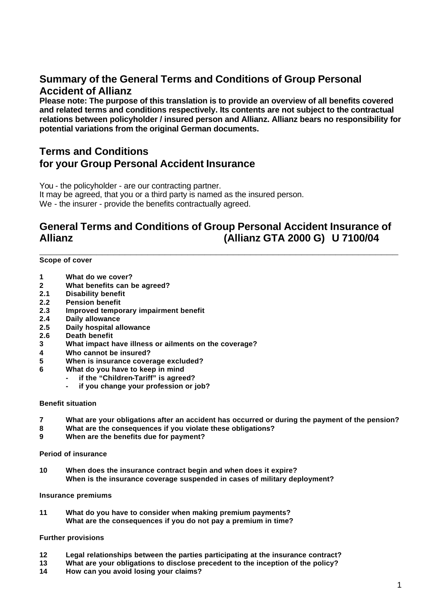# **Summary of the General Terms and Conditions of Group Personal Accident of Allianz**

**Please note: The purpose of this translation is to provide an overview of all benefits covered and related terms and conditions respectively. Its contents are not subject to the contractual relations between policyholder / insured person and Allianz. Allianz bears no responsibility for potential variations from the original German documents.**

# **Terms and Conditions for your Group Personal Accident Insurance**

You - the policyholder - are our contracting partner.

It may be agreed, that you or a third party is named as the insured person. We - the insurer - provide the benefits contractually agreed.

# **General Terms and Conditions of Group Personal Accident Insurance of Allianz (Allianz GTA 2000 G) U 7100/04**

**\_\_\_\_\_\_\_\_\_\_\_\_\_\_\_\_\_\_\_\_\_\_\_\_\_\_\_\_\_\_\_\_\_\_\_\_\_\_\_\_\_\_\_\_\_\_\_\_\_\_\_\_\_\_\_\_\_\_\_\_\_\_\_**

# **Scope of cover**

- **1 What do we cover?**
- **2 What benefits can be agreed?**
- **2.1 Disability benefit**
- **2.2 Pension benefit**
- **2.3 Improved temporary impairment benefit**
- **2.4 Daily allowance**
- **2.5 Daily hospital allowance**
- **2.6 Death benefit**
- **3 What impact have illness or ailments on the coverage?**
- **4 Who cannot be insured?**
- **5 When is insurance coverage excluded?**
- **6 What do you have to keep in mind** 
	- **- if the "Children-Tariff" is agreed?**
		- **- if you change your profession or job?**

#### **Benefit situation**

- **7 What are your obligations after an accident has occurred or during the payment of the pension?**
- **8 What are the consequences if you violate these obligations?**
- **9 When are the benefits due for payment?**

#### **Period of insurance**

**10 When does the insurance contract begin and when does it expire? When is the insurance coverage suspended in cases of military deployment?**

#### **Insurance premiums**

**11 What do you have to consider when making premium payments? What are the consequences if you do not pay a premium in time?**

# **Further provisions**

- **12 Legal relationships between the parties participating at the insurance contract?**
- **13 What are your obligations to disclose precedent to the inception of the policy?**
- **14 How can you avoid losing your claims?**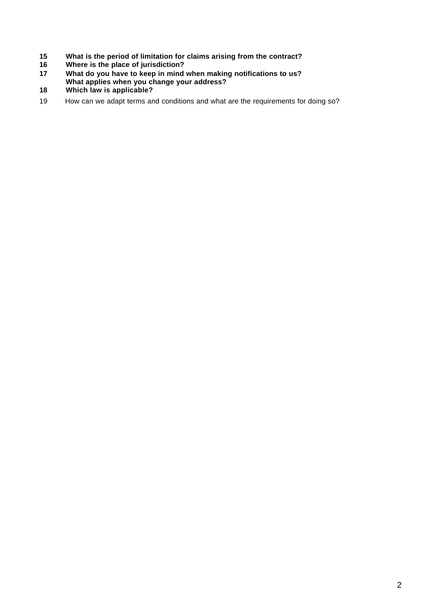- **What is the period of limitation for claims arising from the contract?**
- **Where is the place of jurisdiction?**
- **What do you have to keep in mind when making notifications to us? What applies when you change your address?**
- **Which law is applicable?**
- 19 How can we adapt terms and conditions and what are the requirements for doing so?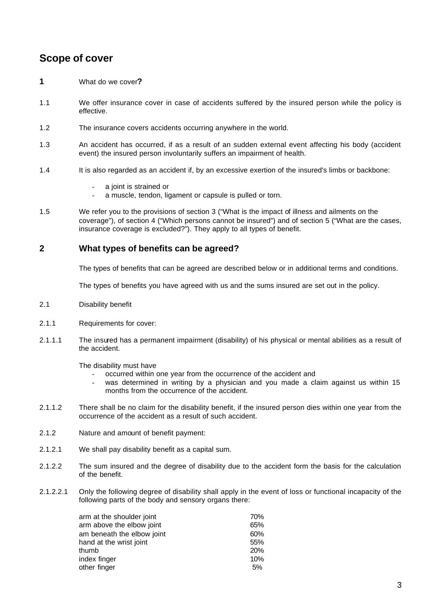# **Scope of cover**

- **1** What do we cover**?**
- 1.1 We offer insurance cover in case of accidents suffered by the insured person while the policy is effective.
- 1.2 The insurance covers accidents occurring anywhere in the world.
- 1.3 An accident has occurred, if as a result of an sudden external event affecting his body (accident event) the insured person involuntarily suffers an impairment of health.
- 1.4 It is also regarded as an accident if, by an excessive exertion of the insured's limbs or backbone:
	- a joint is strained or
	- a muscle, tendon, ligament or capsule is pulled or torn.
- 1.5 We refer you to the provisions of section 3 ("What is the impact of illness and ailments on the coverage"), of section 4 ("Which persons cannot be insured") and of section 5 ("What are the cases, insurance coverage is excluded?"). They apply to all types of benefit.

# **2 What types of benefits can be agreed?**

The types of benefits that can be agreed are described below or in additional terms and conditions.

The types of benefits you have agreed with us and the sums insured are set out in the policy.

- 2.1 Disability benefit
- 2.1.1 Requirements for cover:
- 2.1.1.1 The insured has a permanent impairment (disability) of his physical or mental abilities as a result of the accident.

The disability must have

- occurred within one year from the occurrence of the accident and
- was determined in writing by a physician and you made a claim against us within 15 months from the occurrence of the accident.
- 2.1.1.2 There shall be no claim for the disability benefit, if the insured person dies within one year from the occurrence of the accident as a result of such accident.
- 2.1.2 Nature and amount of benefit payment:
- 2.1.2.1 We shall pay disability benefit as a capital sum.
- 2.1.2.2 The sum insured and the degree of disability due to the accident form the basis for the calculation of the benefit.
- 2.1.2.2.1 Only the following degree of disability shall apply in the event of loss or functional incapacity of the following parts of the body and sensory organs there:

| 70% |
|-----|
| 65% |
| 60% |
| 55% |
| 20% |
| 10% |
| 5%  |
|     |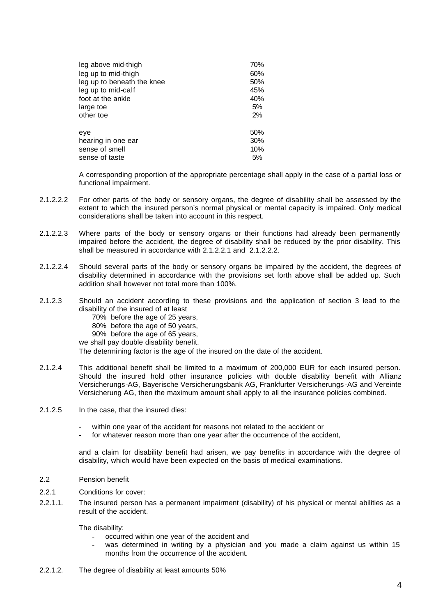| leg above mid-thigh        | 70% |
|----------------------------|-----|
| leg up to mid-thigh        | 60% |
| leg up to beneath the knee | 50% |
| leg up to mid-calf         | 45% |
| foot at the ankle          | 40% |
| large toe                  | 5%  |
| other toe                  | 2%  |
| eye                        | 50% |
| hearing in one ear         | 30% |
| sense of smell             | 10% |
| sense of taste             | 5%  |

A corresponding proportion of the appropriate percentage shall apply in the case of a partial loss or functional impairment.

- 2.1.2.2.2 For other parts of the body or sensory organs, the degree of disability shall be assessed by the extent to which the insured person's normal physical or mental capacity is impaired. Only medical considerations shall be taken into account in this respect.
- 2.1.2.2.3 Where parts of the body or sensory organs or their functions had already been permanently impaired before the accident, the degree of disability shall be reduced by the prior disability. This shall be measured in accordance with 2.1.2.2.1 and 2.1.2.2.2.
- 2.1.2.2.4 Should several parts of the body or sensory organs be impaired by the accident, the degrees of disability determined in accordance with the provisions set forth above shall be added up. Such addition shall however not total more than 100%.
- 2.1.2.3 Should an accident according to these provisions and the application of section 3 lead to the disability of the insured of at least
	- 70% before the age of 25 years,
	- 80% before the age of 50 years,
	- 90% before the age of 65 years,
	- we shall pay double disability benefit.

The determining factor is the age of the insured on the date of the accident.

- 2.1.2.4 This additional benefit shall be limited to a maximum of 200,000 EUR for each insured person. Should the insured hold other insurance policies with double disability benefit with Allianz Versicherungs-AG, Bayerische Versicherungsbank AG, Frankfurter Versicherungs -AG and Vereinte Versicherung AG, then the maximum amount shall apply to all the insurance policies combined.
- 2.1.2.5 In the case, that the insured dies:
	- within one year of the accident for reasons not related to the accident or
	- for whatever reason more than one year after the occurrence of the accident,

and a claim for disability benefit had arisen, we pay benefits in accordance with the degree of disability, which would have been expected on the basis of medical examinations.

- 2.2 Pension benefit
- 2.2.1 Conditions for cover:
- 2.2.1.1. The insured person has a permanent impairment (disability) of his physical or mental abilities as a result of the accident.

The disability:

- occurred within one year of the accident and
- was determined in writing by a physician and you made a claim against us within 15 months from the occurrence of the accident.
- 2.2.1.2. The degree of disability at least amounts 50%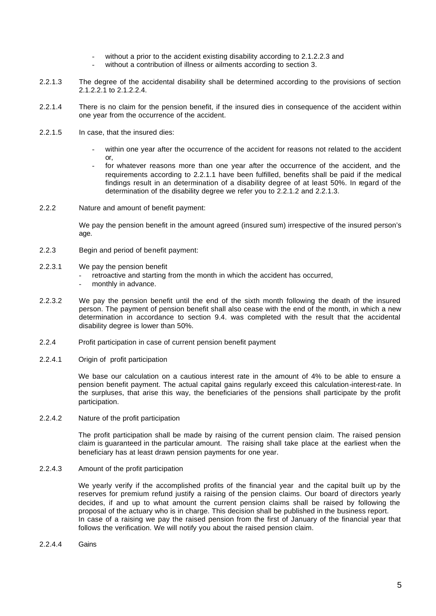- without a prior to the accident existing disability according to 2.1.2.2.3 and
- without a contribution of illness or ailments according to section 3.
- 2.2.1.3 The degree of the accidental disability shall be determined according to the provisions of section 2.1.2.2.1 to 2.1.2.2.4.
- 2.2.1.4 There is no claim for the pension benefit, if the insured dies in consequence of the accident within one year from the occurrence of the accident.
- 2.2.1.5 In case, that the insured dies:
	- within one year after the occurrence of the accident for reasons not related to the accident or,
	- for whatever reasons more than one year after the occurrence of the accident, and the requirements according to 2.2.1.1 have been fulfilled, benefits shall be paid if the medical findings result in an determination of a disability degree of at least 50%. In regard of the determination of the disability degree we refer you to 2.2.1.2 and 2.2.1.3.
- 2.2.2 Nature and amount of benefit payment:

We pay the pension benefit in the amount agreed (insured sum) irrespective of the insured person's age.

- 2.2.3 Begin and period of benefit payment:
- 2.2.3.1 We pay the pension benefit
	- retroactive and starting from the month in which the accident has occurred,
	- monthly in advance.
- 2.2.3.2 We pay the pension benefit until the end of the sixth month following the death of the insured person. The payment of pension benefit shall also cease with the end of the month, in which a new determination in accordance to section 9.4. was completed with the result that the accidental disability degree is lower than 50%.
- 2.2.4 Profit participation in case of current pension benefit payment
- 2.2.4.1 Origin of profit participation

We base our calculation on a cautious interest rate in the amount of 4% to be able to ensure a pension benefit payment. The actual capital gains regularly exceed this calculation-interest-rate. In the surpluses, that arise this way, the beneficiaries of the pensions shall participate by the profit participation.

2.2.4.2 Nature of the profit participation

The profit participation shall be made by raising of the current pension claim. The raised pension claim is guaranteed in the particular amount. The raising shall take place at the earliest when the beneficiary has at least drawn pension payments for one year.

2.2.4.3 Amount of the profit participation

We yearly verify if the accomplished profits of the financial year and the capital built up by the reserves for premium refund justify a raising of the pension claims. Our board of directors yearly decides, if and up to what amount the current pension claims shall be raised by following the proposal of the actuary who is in charge. This decision shall be published in the business report. In case of a raising we pay the raised pension from the first of January of the financial year that follows the verification. We will notify you about the raised pension claim.

2.2.4.4 Gains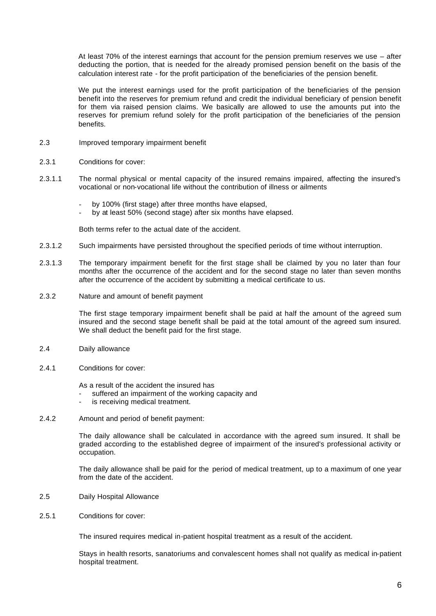At least 70% of the interest earnings that account for the pension premium reserves we use – after deducting the portion, that is needed for the already promised pension benefit on the basis of the calculation interest rate - for the profit participation of the beneficiaries of the pension benefit.

We put the interest earnings used for the profit participation of the beneficiaries of the pension benefit into the reserves for premium refund and credit the individual beneficiary of pension benefit for them via raised pension claims. We basically are allowed to use the amounts put into the reserves for premium refund solely for the profit participation of the beneficiaries of the pension benefits.

- 2.3 Improved temporary impairment benefit
- 2.3.1 Conditions for cover:
- 2.3.1.1 The normal physical or mental capacity of the insured remains impaired, affecting the insured's vocational or non-vocational life without the contribution of illness or ailments
	- by 100% (first stage) after three months have elapsed,
	- by at least 50% (second stage) after six months have elapsed.

Both terms refer to the actual date of the accident.

- 2.3.1.2 Such impairments have persisted throughout the specified periods of time without interruption.
- 2.3.1.3 The temporary impairment benefit for the first stage shall be claimed by you no later than four months after the occurrence of the accident and for the second stage no later than seven months after the occurrence of the accident by submitting a medical certificate to us.
- 2.3.2 Nature and amount of benefit payment

The first stage temporary impairment benefit shall be paid at half the amount of the agreed sum insured and the second stage benefit shall be paid at the total amount of the agreed sum insured. We shall deduct the benefit paid for the first stage.

- 2.4 Daily allowance
- 2.4.1 Conditions for cover:

As a result of the accident the insured has

- suffered an impairment of the working capacity and
- is receiving medical treatment.
- 2.4.2 Amount and period of benefit payment:

The daily allowance shall be calculated in accordance with the agreed sum insured. It shall be graded according to the established degree of impairment of the insured's professional activity or occupation.

The daily allowance shall be paid for the period of medical treatment, up to a maximum of one year from the date of the accident.

- 2.5 Daily Hospital Allowance
- 2.5.1 Conditions for cover:

The insured requires medical in-patient hospital treatment as a result of the accident.

Stays in health resorts, sanatoriums and convalescent homes shall not qualify as medical in-patient hospital treatment.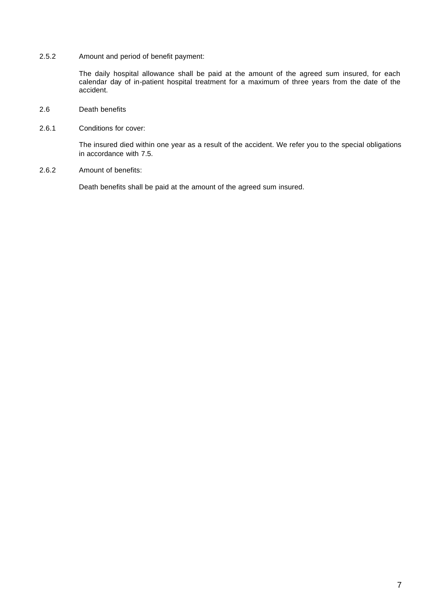2.5.2 Amount and period of benefit payment:

The daily hospital allowance shall be paid at the amount of the agreed sum insured, for each calendar day of in-patient hospital treatment for a maximum of three years from the date of the accident.

- 2.6 Death benefits
- 2.6.1 Conditions for cover:

The insured died within one year as a result of the accident. We refer you to the special obligations in accordance with 7.5.

2.6.2 Amount of benefits:

Death benefits shall be paid at the amount of the agreed sum insured.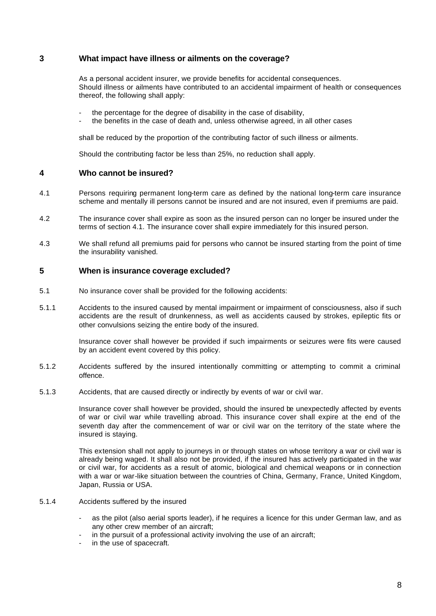# **3 What impact have illness or ailments on the coverage?**

As a personal accident insurer, we provide benefits for accidental consequences. Should illness or ailments have contributed to an accidental impairment of health or consequences thereof, the following shall apply:

- the percentage for the degree of disability in the case of disability,
- the benefits in the case of death and, unless otherwise agreed, in all other cases

shall be reduced by the proportion of the contributing factor of such illness or ailments.

Should the contributing factor be less than 25%, no reduction shall apply.

### **4 Who cannot be insured?**

- 4.1 Persons requiring permanent long-term care as defined by the national long-term care insurance scheme and mentally ill persons cannot be insured and are not insured, even if premiums are paid.
- 4.2 The insurance cover shall expire as soon as the insured person can no longer be insured under the terms of section 4.1. The insurance cover shall expire immediately for this insured person.
- 4.3 We shall refund all premiums paid for persons who cannot be insured starting from the point of time the insurability vanished.

# **5 When is insurance coverage excluded?**

- 5.1 No insurance cover shall be provided for the following accidents:
- 5.1.1 Accidents to the insured caused by mental impairment or impairment of consciousness, also if such accidents are the result of drunkenness, as well as accidents caused by strokes, epileptic fits or other convulsions seizing the entire body of the insured.

Insurance cover shall however be provided if such impairments or seizures were fits were caused by an accident event covered by this policy.

- 5.1.2 Accidents suffered by the insured intentionally committing or attempting to commit a criminal offence.
- 5.1.3 Accidents, that are caused directly or indirectly by events of war or civil war.

Insurance cover shall however be provided, should the insured be unexpectedly affected by events of war or civil war while travelling abroad. This insurance cover shall expire at the end of the seventh day after the commencement of war or civil war on the territory of the state where the insured is staying.

This extension shall not apply to journeys in or through states on whose territory a war or civil war is already being waged. It shall also not be provided, if the insured has actively participated in the war or civil war, for accidents as a result of atomic, biological and chemical weapons or in connection with a war or war-like situation between the countries of China, Germany, France, United Kingdom, Japan, Russia or USA.

#### 5.1.4 Accidents suffered by the insured

- as the pilot (also aerial sports leader), if he requires a licence for this under German law, and as any other crew member of an aircraft;
- in the pursuit of a professional activity involving the use of an aircraft;
- in the use of spacecraft.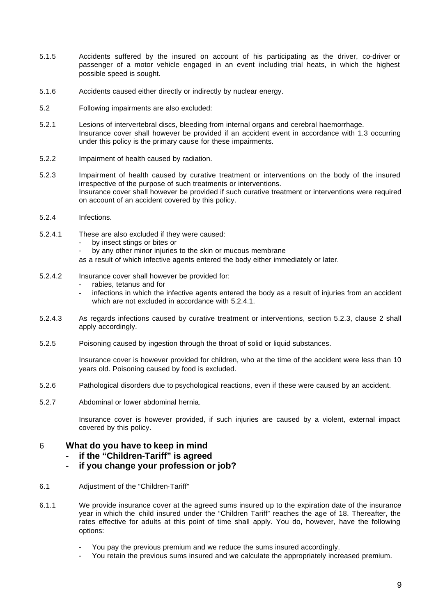- 5.1.5 Accidents suffered by the insured on account of his participating as the driver, co-driver or passenger of a motor vehicle engaged in an event including trial heats, in which the highest possible speed is sought.
- 5.1.6 Accidents caused either directly or indirectly by nuclear energy.
- 5.2 Following impairments are also excluded:
- 5.2.1 Lesions of intervertebral discs, bleeding from internal organs and cerebral haemorrhage. Insurance cover shall however be provided if an accident event in accordance with 1.3 occurring under this policy is the primary cause for these impairments.
- 5.2.2 Impairment of health caused by radiation.
- 5.2.3 Impairment of health caused by curative treatment or interventions on the body of the insured irrespective of the purpose of such treatments or interventions. Insurance cover shall however be provided if such curative treatment or interventions were required on account of an accident covered by this policy.
- 5.2.4 Infections.
- 5.2.4.1 These are also excluded if they were caused:
	- by insect stings or bites or
	- by any other minor injuries to the skin or mucous membrane
	- as a result of which infective agents entered the body either immediately or later.
- 5.2.4.2 Insurance cover shall however be provided for:
	- rabies, tetanus and for
	- infections in which the infective agents entered the body as a result of injuries from an accident which are not excluded in accordance with 5.2.4.1.
- 5.2.4.3 As regards infections caused by curative treatment or interventions, section 5.2.3, clause 2 shall apply accordingly.
- 5.2.5 Poisoning caused by ingestion through the throat of solid or liquid substances.

Insurance cover is however provided for children, who at the time of the accident were less than 10 years old. Poisoning caused by food is excluded.

- 5.2.6 Pathological disorders due to psychological reactions, even if these were caused by an accident.
- 5.2.7 Abdominal or lower abdominal hernia.

Insurance cover is however provided, if such injuries are caused by a violent, external impact covered by this policy.

# 6 **What do you have to keep in mind**

- **- if the "Children-Tariff" is agreed**
- **- if you change your profession or job?**
- 6.1 Adjustment of the "Children-Tariff"
- 6.1.1 We provide insurance cover at the agreed sums insured up to the expiration date of the insurance year in which the child insured under the "Children Tariff" reaches the age of 18. Thereafter, the rates effective for adults at this point of time shall apply. You do, however, have the following options:
	- You pay the previous premium and we reduce the sums insured accordingly.
	- You retain the previous sums insured and we calculate the appropriately increased premium.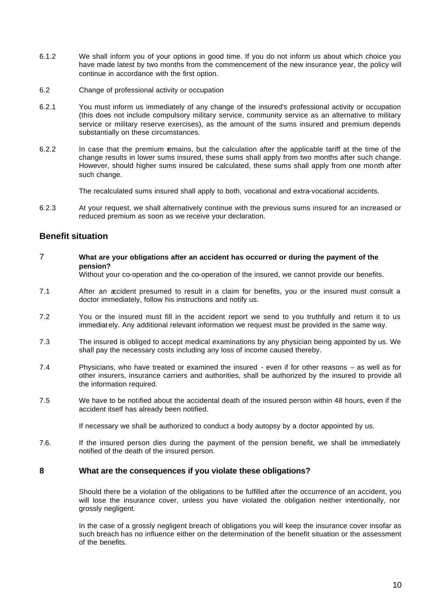- 6.1.2 We shall inform you of your options in good time. If you do not inform us about which choice you have made latest by two months from the commencement of the new insurance year, the policy will continue in accordance with the first option.
- 6.2 Change of professional activity or occupation
- 6.2.1 You must inform us immediately of any change of the insured's professional activity or occupation (this does not include compulsory military service, community service as an alternative to military service or military reserve exercises), as the amount of the sums insured and premium depends substantially on these circumstances.
- 6.2.2 In case that the premium remains, but the calculation after the applicable tariff at the time of the change results in lower sums insured, these sums shall apply from two months after such change. However, should higher sums insured be calculated, these sums shall apply from one month after such change.

The recalculated sums insured shall apply to both, vocational and extra-vocational accidents.

6.2.3 At your request, we shall alternatively continue with the previous sums insured for an increased or reduced premium as soon as we receive your declaration.

# **Benefit situation**

7 **What are your obligations after an accident has occurred or during the payment of the pension?**

Without your co-operation and the co-operation of the insured, we cannot provide our benefits.

- 7.1 After an accident presumed to result in a claim for benefits, you or the insured must consult a doctor immediately, follow his instructions and notify us.
- 7.2 You or the insured must fill in the accident report we send to you truthfully and return it to us immediat ely. Any additional relevant information we request must be provided in the same way.
- 7.3 The insured is obliged to accept medical examinations by any physician being appointed by us. We shall pay the necessary costs including any loss of income caused thereby.
- 7.4 Physicians, who have treated or examined the insured even if for other reasons as well as for other insurers, insurance carriers and authorities, shall be authorized by the insured to provide all the information required.
- 7.5 We have to be notified about the accidental death of the insured person within 48 hours, even if the accident itself has already been notified.

If necessary we shall be authorized to conduct a body autopsy by a doctor appointed by us.

7.6. If the insured person dies during the payment of the pension benefit, we shall be immediately notified of the death of the insured person.

# **8 What are the consequences if you violate these obligations?**

Should there be a violation of the obligations to be fulfilled after the occurrence of an accident, you will lose the insurance cover, unless you have violated the obligation neither intentionally, nor grossly negligent.

In the case of a grossly negligent breach of obligations you will keep the insurance cover insofar as such breach has no influence either on the determination of the benefit situation or the assessment of the benefits.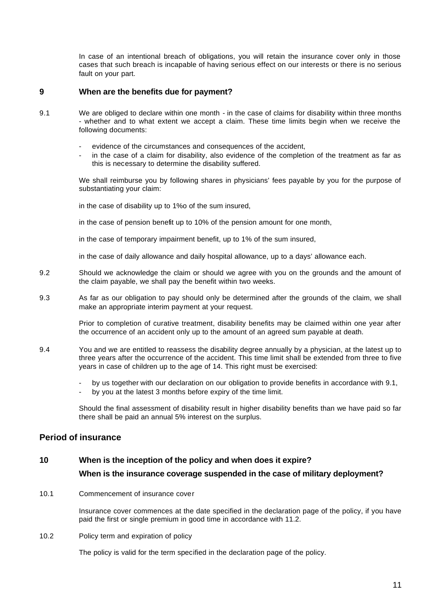In case of an intentional breach of obligations, you will retain the insurance cover only in those cases that such breach is incapable of having serious effect on our interests or there is no serious fault on your part.

# **9 When are the benefits due for payment?**

- 9.1 We are obliged to declare within one month in the case of claims for disability within three months - whether and to what extent we accept a claim. These time limits begin when we receive the following documents:
	- evidence of the circumstances and consequences of the accident,
	- in the case of a claim for disability, also evidence of the completion of the treatment as far as this is necessary to determine the disability suffered.

We shall reimburse you by following shares in physicians' fees payable by you for the purpose of substantiating your claim:

in the case of disability up to 1%o of the sum insured,

in the case of pension benefit up to 10% of the pension amount for one month,

in the case of temporary impairment benefit, up to 1% of the sum insured,

in the case of daily allowance and daily hospital allowance, up to a days' allowance each.

9.2 Should we acknowledge the claim or should we agree with you on the grounds and the amount of the claim payable, we shall pay the benefit within two weeks.

#### 9.3 As far as our obligation to pay should only be determined after the grounds of the claim, we shall make an appropriate interim payment at your request.

Prior to completion of curative treatment, disability benefits may be claimed within one year after the occurrence of an accident only up to the amount of an agreed sum payable at death.

- 9.4 You and we are entitled to reassess the disability degree annually by a physician, at the latest up to three years after the occurrence of the accident. This time limit shall be extended from three to five years in case of children up to the age of 14. This right must be exercised:
	- by us together with our declaration on our obligation to provide benefits in accordance with 9.1,
	- by you at the latest 3 months before expiry of the time limit.

Should the final assessment of disability result in higher disability benefits than we have paid so far there shall be paid an annual 5% interest on the surplus.

# **Period of insurance**

# **10 When is the inception of the policy and when does it expire?**

# **When is the insurance coverage suspended in the case of military deployment?**

10.1 Commencement of insurance cover

Insurance cover commences at the date specified in the declaration page of the policy, if you have paid the first or single premium in good time in accordance with 11.2.

10.2 Policy term and expiration of policy

The policy is valid for the term specified in the declaration page of the policy.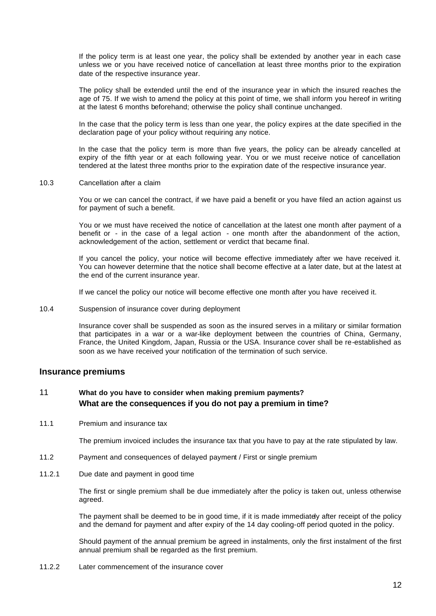If the policy term is at least one year, the policy shall be extended by another year in each case unless we or you have received notice of cancellation at least three months prior to the expiration date of the respective insurance year.

The policy shall be extended until the end of the insurance year in which the insured reaches the age of 75. If we wish to amend the policy at this point of time, we shall inform you hereof in writing at the latest 6 months beforehand; otherwise the policy shall continue unchanged.

In the case that the policy term is less than one year, the policy expires at the date specified in the declaration page of your policy without requiring any notice.

In the case that the policy term is more than five years, the policy can be already cancelled at expiry of the fifth year or at each following year. You or we must receive notice of cancellation tendered at the latest three months prior to the expiration date of the respective insurance year.

10.3 Cancellation after a claim

You or we can cancel the contract, if we have paid a benefit or you have filed an action against us for payment of such a benefit.

You or we must have received the notice of cancellation at the latest one month after payment of a benefit or - in the case of a legal action - one month after the abandonment of the action, acknowledgement of the action, settlement or verdict that became final.

If you cancel the policy, your notice will become effective immediately after we have received it. You can however determine that the notice shall become effective at a later date, but at the latest at the end of the current insurance year.

If we cancel the policy our notice will become effective one month after you have received it.

### 10.4 Suspension of insurance cover during deployment

Insurance cover shall be suspended as soon as the insured serves in a military or similar formation that participates in a war or a war-like deployment between the countries of China, Germany, France, the United Kingdom, Japan, Russia or the USA. Insurance cover shall be re-established as soon as we have received your notification of the termination of such service.

# **Insurance premiums**

# 11 **What do you have to consider when making premium payments? What are the consequences if you do not pay a premium in time?**

11.1 Premium and insurance tax

The premium invoiced includes the insurance tax that you have to pay at the rate stipulated by law.

- 11.2 Payment and consequences of delayed payment / First or single premium
- 11.2.1 Due date and payment in good time

The first or single premium shall be due immediately after the policy is taken out, unless otherwise agreed.

The payment shall be deemed to be in good time, if it is made immediately after receipt of the policy and the demand for payment and after expiry of the 14 day cooling-off period quoted in the policy.

Should payment of the annual premium be agreed in instalments, only the first instalment of the first annual premium shall be regarded as the first premium.

11.2.2 Later commencement of the insurance cover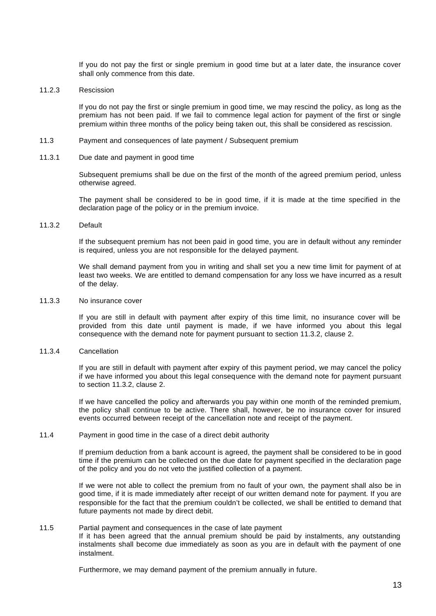If you do not pay the first or single premium in good time but at a later date, the insurance cover shall only commence from this date.

11.2.3 Rescission

If you do not pay the first or single premium in good time, we may rescind the policy, as long as the premium has not been paid. If we fail to commence legal action for payment of the first or single premium within three months of the policy being taken out, this shall be considered as rescission.

- 11.3 Payment and consequences of late payment / Subsequent premium
- 11.3.1 Due date and payment in good time

Subsequent premiums shall be due on the first of the month of the agreed premium period, unless otherwise agreed.

The payment shall be considered to be in good time, if it is made at the time specified in the declaration page of the policy or in the premium invoice.

### 11.3.2 Default

If the subsequent premium has not been paid in good time, you are in default without any reminder is required, unless you are not responsible for the delayed payment.

We shall demand payment from you in writing and shall set you a new time limit for payment of at least two weeks. We are entitled to demand compensation for any loss we have incurred as a result of the delay.

11.3.3 No insurance cover

If you are still in default with payment after expiry of this time limit, no insurance cover will be provided from this date until payment is made, if we have informed you about this legal consequence with the demand note for payment pursuant to section 11.3.2, clause 2.

11.3.4 Cancellation

If you are still in default with payment after expiry of this payment period, we may cancel the policy if we have informed you about this legal consequence with the demand note for payment pursuant to section 11.3.2, clause 2.

If we have cancelled the policy and afterwards you pay within one month of the reminded premium, the policy shall continue to be active. There shall, however, be no insurance cover for insured events occurred between receipt of the cancellation note and receipt of the payment.

#### 11.4 Payment in good time in the case of a direct debit authority

If premium deduction from a bank account is agreed, the payment shall be considered to be in good time if the premium can be collected on the due date for payment specified in the declaration page of the policy and you do not veto the justified collection of a payment.

If we were not able to collect the premium from no fault of your own, the payment shall also be in good time, if it is made immediately after receipt of our written demand note for payment. If you are responsible for the fact that the premium couldn't be collected, we shall be entitled to demand that future payments not made by direct debit.

#### 11.5 Partial payment and consequences in the case of late payment

If it has been agreed that the annual premium should be paid by instalments, any outstanding instalments shall become due immediately as soon as you are in default with the payment of one instalment.

Furthermore, we may demand payment of the premium annually in future.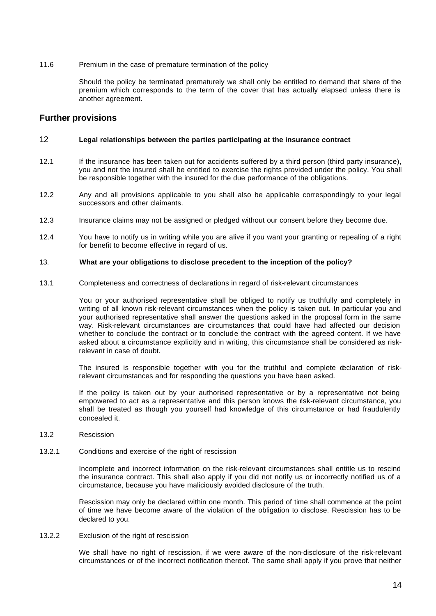11.6 Premium in the case of premature termination of the policy

Should the policy be terminated prematurely we shall only be entitled to demand that share of the premium which corresponds to the term of the cover that has actually elapsed unless there is another agreement.

# **Further provisions**

### 12 **Legal relationships between the parties participating at the insurance contract**

- 12.1 If the insurance has been taken out for accidents suffered by a third person (third party insurance), you and not the insured shall be entitled to exercise the rights provided under the policy. You shall be responsible together with the insured for the due performance of the obligations.
- 12.2 Any and all provisions applicable to you shall also be applicable correspondingly to your legal successors and other claimants.
- 12.3 Insurance claims may not be assigned or pledged without our consent before they become due.
- 12.4 You have to notify us in writing while you are alive if you want your granting or repealing of a right for benefit to become effective in regard of us.

#### 13. **What are your obligations to disclose precedent to the inception of the policy?**

13.1 Completeness and correctness of declarations in regard of risk-relevant circumstances

You or your authorised representative shall be obliged to notify us truthfully and completely in writing of all known risk-relevant circumstances when the policy is taken out. In particular you and your authorised representative shall answer the questions asked in the proposal form in the same way. Risk-relevant circumstances are circumstances that could have had affected our decision whether to conclude the contract or to conclude the contract with the agreed content. If we have asked about a circumstance explicitly and in writing, this circumstance shall be considered as riskrelevant in case of doubt.

The insured is responsible together with you for the truthful and complete declaration of riskrelevant circumstances and for responding the questions you have been asked.

If the policy is taken out by your authorised representative or by a representative not being empowered to act as a representative and this person knows the risk-relevant circumstance, you shall be treated as though you yourself had knowledge of this circumstance or had fraudulently concealed it.

- 13.2 Rescission
- 13.2.1 Conditions and exercise of the right of rescission

Incomplete and incorrect information on the risk-relevant circumstances shall entitle us to rescind the insurance contract. This shall also apply if you did not notify us or incorrectly notified us of a circumstance, because you have maliciously avoided disclosure of the truth.

Rescission may only be declared within one month. This period of time shall commence at the point of time we have become aware of the violation of the obligation to disclose. Rescission has to be declared to you.

#### 13.2.2 Exclusion of the right of rescission

We shall have no right of rescission, if we were aware of the non-disclosure of the risk-relevant circumstances or of the incorrect notification thereof. The same shall apply if you prove that neither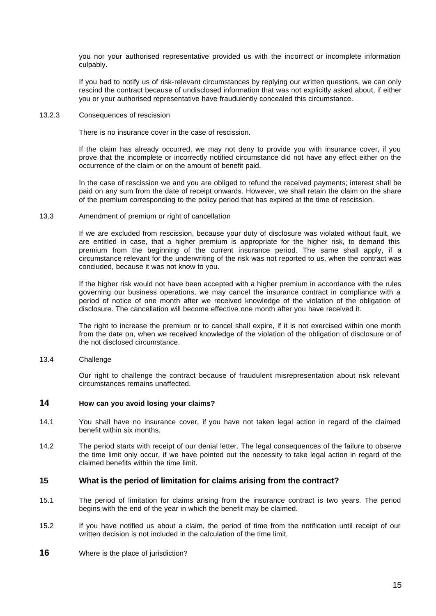you nor your authorised representative provided us with the incorrect or incomplete information culpably.

If you had to notify us of risk-relevant circumstances by replying our written questions, we can only rescind the contract because of undisclosed information that was not explicitly asked about, if either you or your authorised representative have fraudulently concealed this circumstance.

#### 13.2.3 Consequences of rescission

There is no insurance cover in the case of rescission.

If the claim has already occurred, we may not deny to provide you with insurance cover, if you prove that the incomplete or incorrectly notified circumstance did not have any effect either on the occurrence of the claim or on the amount of benefit paid.

In the case of rescission we and you are obliged to refund the received payments; interest shall be paid on any sum from the date of receipt onwards. However, we shall retain the claim on the share of the premium corresponding to the policy period that has expired at the time of rescission.

#### 13.3 Amendment of premium or right of cancellation

If we are excluded from rescission, because your duty of disclosure was violated without fault, we are entitled in case, that a higher premium is appropriate for the higher risk, to demand this premium from the beginning of the current insurance period. The same shall apply, if a circumstance relevant for the underwriting of the risk was not reported to us, when the contract was concluded, because it was not know to you.

If the higher risk would not have been accepted with a higher premium in accordance with the rules governing our business operations, we may cancel the insurance contract in compliance with a period of notice of one month after we received knowledge of the violation of the obligation of disclosure. The cancellation will become effective one month after you have received it.

The right to increase the premium or to cancel shall expire, if it is not exercised within one month from the date on, when we received knowledge of the violation of the obligation of disclosure or of the not disclosed circumstance.

#### 13.4 Challenge

Our right to challenge the contract because of fraudulent misrepresentation about risk relevant circumstances remains unaffected.

# **14 How can you avoid losing your claims?**

- 14.1 You shall have no insurance cover, if you have not taken legal action in regard of the claimed benefit within six months.
- 14.2 The period starts with receipt of our denial letter. The legal consequences of the failure to observe the time limit only occur, if we have pointed out the necessity to take legal action in regard of the claimed benefits within the time limit.

#### **15 What is the period of limitation for claims arising from the contract?**

- 15.1 The period of limitation for claims arising from the insurance contract is two years. The period begins with the end of the year in which the benefit may be claimed.
- 15.2 If you have notified us about a claim, the period of time from the notification until receipt of our written decision is not included in the calculation of the time limit.
- **16** Where is the place of jurisdiction?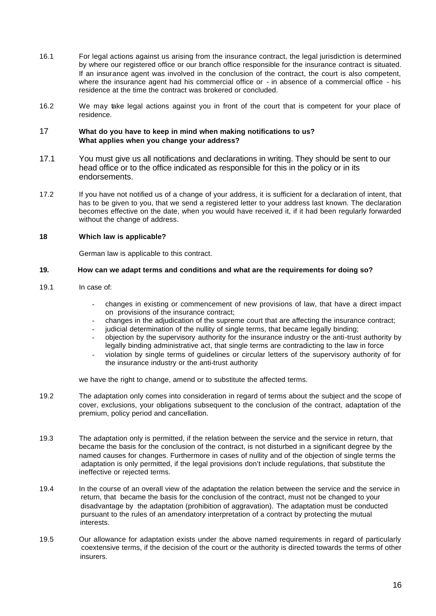- 16.1 For legal actions against us arising from the insurance contract, the legal jurisdiction is determined by where our registered office or our branch office responsible for the insurance contract is situated. If an insurance agent was involved in the conclusion of the contract, the court is also competent, where the insurance agent had his commercial office or - in absence of a commercial office - his residence at the time the contract was brokered or concluded.
- 16.2 We may take legal actions against you in front of the court that is competent for your place of residence.

#### 17 **What do you have to keep in mind when making notifications to us? What applies when you change your address?**

- 17.1 You must give us all notifications and declarations in writing. They should be sent to our head office or to the office indicated as responsible for this in the policy or in its endorsements.
- 17.2 If you have not notified us of a change of your address, it is sufficient for a declaration of intent, that has to be given to you, that we send a registered letter to your address last known. The declaration becomes effective on the date, when you would have received it, if it had been regularly forwarded without the change of address.

# **18 Which law is applicable?**

German law is applicable to this contract.

## **19. How can we adapt terms and conditions and what are the requirements for doing so?**

- 19.1 In case of:
	- changes in existing or commencement of new provisions of law, that have a direct impact on provisions of the insurance contract;
	- changes in the adjudication of the supreme court that are affecting the insurance contract;
	- judicial determination of the nullity of single terms, that became legally binding;
	- objection by the supervisory authority for the insurance industry or the anti-trust authority by legally binding administrative act, that single terms are contradicting to the law in force
	- violation by single terms of guidelines or circular letters of the supervisory authority of for the insurance industry or the anti-trust authority

we have the right to change, amend or to substitute the affected terms.

- 19.2 The adaptation only comes into consideration in regard of terms about the subject and the scope of cover, exclusions, your obligations subsequent to the conclusion of the contract, adaptation of the premium, policy period and cancellation.
- 19.3 The adaptation only is permitted, if the relation between the service and the service in return, that became the basis for the conclusion of the contract, is not disturbed in a significant degree by the named causes for changes. Furthermore in cases of nullity and of the objection of single terms the adaptation is only permitted, if the legal provisions don't include regulations, that substitute the ineffective or rejected terms.
- 19.4 In the course of an overall view of the adaptation the relation between the service and the service in return, that became the basis for the conclusion of the contract, must not be changed to your disadvantage by the adaptation (prohibition of aggravation). The adaptation must be conducted pursuant to the rules of an amendatory interpretation of a contract by protecting the mutual interests.
- 19.5 Our allowance for adaptation exists under the above named requirements in regard of particularly coextensive terms, if the decision of the court or the authority is directed towards the terms of other insurers.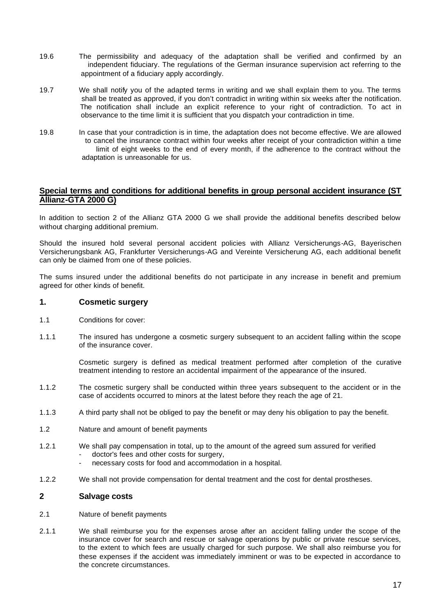- 19.6 The permissibility and adequacy of the adaptation shall be verified and confirmed by an independent fiduciary. The regulations of the German insurance supervision act referring to the appointment of a fiduciary apply accordingly.
- 19.7 We shall notify you of the adapted terms in writing and we shall explain them to you. The terms shall be treated as approved, if you don't contradict in writing within six weeks after the notification. The notification shall include an explicit reference to your right of contradiction. To act in observance to the time limit it is sufficient that you dispatch your contradiction in time.
- 19.8 In case that your contradiction is in time, the adaptation does not become effective. We are allowed to cancel the insurance contract within four weeks after receipt of your contradiction within a time limit of eight weeks to the end of every month, if the adherence to the contract without the adaptation is unreasonable for us.

# **Special terms and conditions for additional benefits in group personal accident insurance (ST Allianz-GTA 2000 G)**

In addition to section 2 of the Allianz GTA 2000 G we shall provide the additional benefits described below without charging additional premium.

Should the insured hold several personal accident policies with Allianz Versicherungs-AG, Bayerischen Versicherungsbank AG, Frankfurter Versicherungs-AG and Vereinte Versicherung AG, each additional benefit can only be claimed from one of these policies.

The sums insured under the additional benefits do not participate in any increase in benefit and premium agreed for other kinds of benefit.

# **1. Cosmetic surgery**

- 1.1 Conditions for cover:
- 1.1.1 The insured has undergone a cosmetic surgery subsequent to an accident falling within the scope of the insurance cover.

Cosmetic surgery is defined as medical treatment performed after completion of the curative treatment intending to restore an accidental impairment of the appearance of the insured.

- 1.1.2 The cosmetic surgery shall be conducted within three years subsequent to the accident or in the case of accidents occurred to minors at the latest before they reach the age of 21.
- 1.1.3 A third party shall not be obliged to pay the benefit or may deny his obligation to pay the benefit.
- 1.2 Nature and amount of benefit payments
- 1.2.1 We shall pay compensation in total, up to the amount of the agreed sum assured for verified doctor's fees and other costs for surgery,
	- necessary costs for food and accommodation in a hospital.
- 1.2.2 We shall not provide compensation for dental treatment and the cost for dental prostheses.

# **2 Salvage costs**

- 2.1 Nature of benefit payments
- 2.1.1 We shall reimburse you for the expenses arose after an accident falling under the scope of the insurance cover for search and rescue or salvage operations by public or private rescue services, to the extent to which fees are usually charged for such purpose. We shall also reimburse you for these expenses if the accident was immediately imminent or was to be expected in accordance to the concrete circumstances.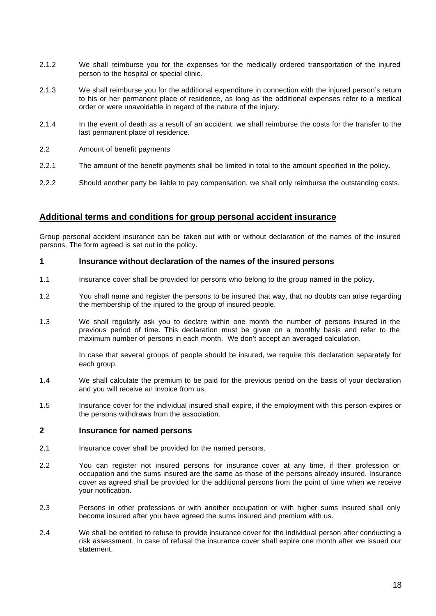- 2.1.2 We shall reimburse you for the expenses for the medically ordered transportation of the injured person to the hospital or special clinic.
- 2.1.3 We shall reimburse you for the additional expenditure in connection with the injured person's return to his or her permanent place of residence, as long as the additional expenses refer to a medical order or were unavoidable in regard of the nature of the injury.
- 2.1.4 In the event of death as a result of an accident, we shall reimburse the costs for the transfer to the last permanent place of residence.
- 2.2 Amount of benefit payments
- 2.2.1 The amount of the benefit payments shall be limited in total to the amount specified in the policy.
- 2.2.2 Should another party be liable to pay compensation, we shall only reimburse the outstanding costs.

# **Additional terms and conditions for group personal accident insurance**

Group personal accident insurance can be taken out with or without declaration of the names of the insured persons. The form agreed is set out in the policy.

# **1 Insurance without declaration of the names of the insured persons**

- 1.1 Insurance cover shall be provided for persons who belong to the group named in the policy.
- 1.2 You shall name and register the persons to be insured that way, that no doubts can arise regarding the membership of the injured to the group of insured people.
- 1.3 We shall regularly ask you to declare within one month the number of persons insured in the previous period of time. This declaration must be given on a monthly basis and refer to the maximum number of persons in each month. We don't accept an averaged calculation.

In case that several groups of people should be insured, we require this declaration separately for each group.

- 1.4 We shall calculate the premium to be paid for the previous period on the basis of your declaration and you will receive an invoice from us.
- 1.5 Insurance cover for the individual insured shall expire, if the employment with this person expires or the persons withdraws from the association.

# **2 Insurance for named persons**

- 2.1 Insurance cover shall be provided for the named persons.
- 2.2 You can register not insured persons for insurance cover at any time, if their profession or occupation and the sums insured are the same as those of the persons already insured. Insurance cover as agreed shall be provided for the additional persons from the point of time when we receive your notification.
- 2.3 Persons in other professions or with another occupation or with higher sums insured shall only become insured after you have agreed the sums insured and premium with us.
- 2.4 We shall be entitled to refuse to provide insurance cover for the individual person after conducting a risk assessment. In case of refusal the insurance cover shall expire one month after we issued our statement.